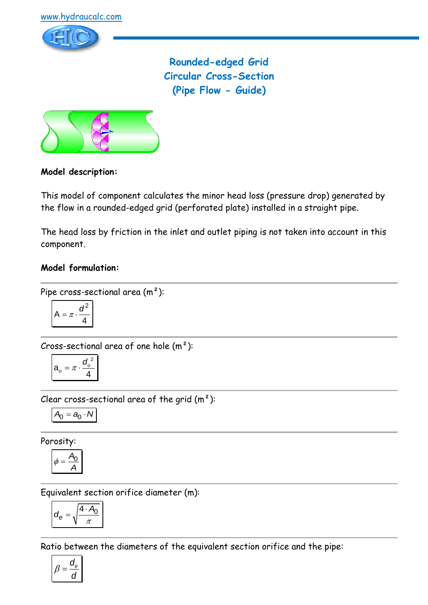

**Rounded-edged Grid Circular Cross-Section (Pipe Flow - Guide)**



## **Model description:**

This model of component calculates the minor head loss (pressure drop) generated by the flow in a rounded-edged grid (perforated plate) installed in a straight pipe.

The head loss by friction in the inlet and outlet piping is not taken into account in this component.

## **Model formulation:**

Pipe cross-sectional area (m²):

$$
A = \pi \cdot \frac{d^2}{4}
$$

Cross-sectional area of one hole  $(m<sup>2</sup>)$ :

$$
a_o = \pi \cdot \frac{{d_o}^2}{4}
$$

Clear cross-sectional area of the grid  $(m<sup>2</sup>)$ :

$$
A_0 = a_0 \cdot N
$$

Porosity:

$$
\phi = \frac{A_0}{A}
$$

Equivalent section orifice diameter (m):

$$
d_e = \sqrt{\frac{4 \cdot A_0}{\pi}}
$$

Ratio between the diameters of the equivalent section orifice and the pipe:

$$
\beta = \frac{d_e}{d}
$$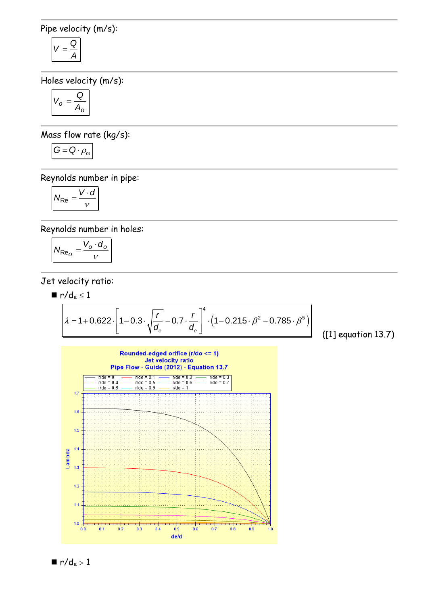Pipe velocity (m/s):

$$
V=\frac{Q}{A}
$$

Holes velocity (m/s):

$$
V_o = \frac{Q}{A_o}
$$

Mass flow rate (kg/s):

$$
G=Q\cdot \rho_m
$$

Reynolds number in pipe:

$$
N_{\text{Re}} = \frac{V \cdot d}{v}
$$

Reynolds number in holes:

$$
N_{\text{Re}_O} = \frac{V_o \cdot d_o}{v}
$$

Jet velocity ratio:

$$
\blacksquare\ r/d_e \leq 1
$$

$$
r/de ≤ 1
$$
  
\n
$$
\lambda = 1 + 0.622 \cdot \left[ 1 - 0.3 \cdot \sqrt{\frac{r}{de}} - 0.7 \cdot \frac{r}{de} \right]^{4} \cdot \left( 1 - 0.215 \cdot \beta^{2} - 0.785 \cdot \beta^{5} \right)
$$
\n[1]

([1] equation 13.7)



$$
\blacksquare r/d_e > 1
$$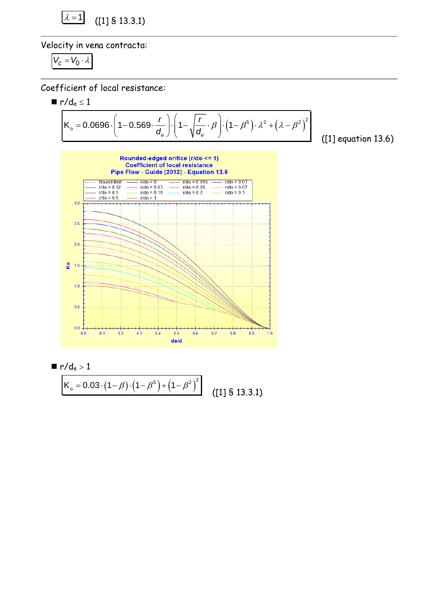$$
\boxed{\lambda = 1} \quad \text{(1] S 13.3.1)}
$$

Velocity in vena contracta:

$$
V_c=V_0\cdot\lambda
$$

Coefficient of local resistance:

erricient of local resistance:  
\n
$$
\mathbf{r}/d_e \le 1
$$
\n
$$
K_o = 0.0696 \cdot \left(1 - 0.569 \cdot \frac{r}{d_e}\right) \cdot \left(1 - \sqrt{\frac{r}{d_e}} \cdot \beta\right) \cdot \left(1 - \beta^5\right) \cdot \lambda^2 + \left(\lambda - \beta^2\right)^2
$$
\n
$$
(11)
$$

([1] equation 13.6)





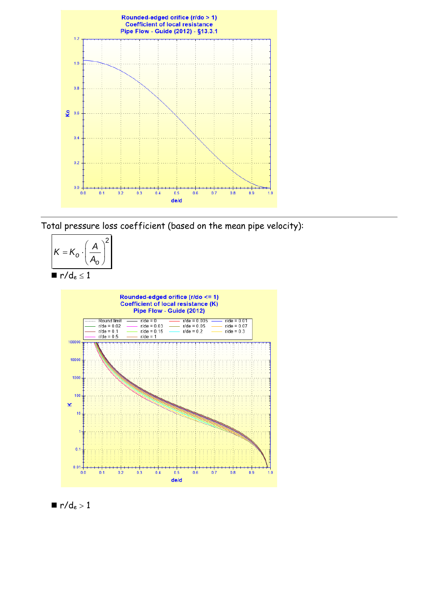

Total pressure loss coefficient (based on the mean pipe velocity):





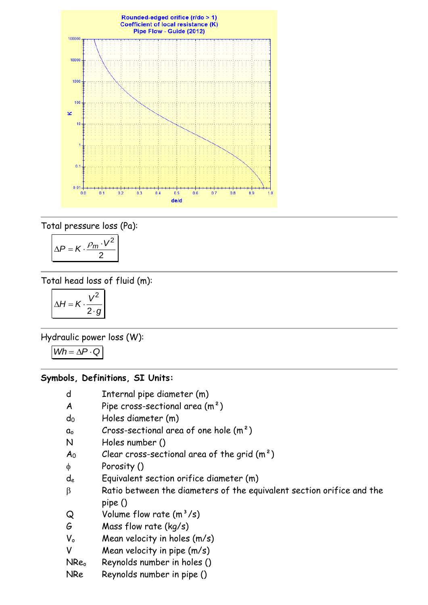

Total pressure loss (Pa):

$$
\Delta P = K \cdot \frac{\rho_m \cdot V^2}{2}
$$

Total head loss of fluid (m):

$$
\Delta H = K \cdot \frac{V^2}{2 \cdot g}
$$

Hydraulic power loss (W):

 $Wh = \Delta P \cdot Q$ 

### **Symbols, Definitions, SI Units:**

- d Internal pipe diameter (m)
- A Pipe cross-sectional area  $(m<sup>2</sup>)$
- d<sup>0</sup> Holes diameter (m)
- $a_0$  Cross-sectional area of one hole  $(m^2)$
- N Holes number ()
- $A_0$  Clear cross-sectional area of the grid  $(m^2)$
- Porosity ()
- d<sup>e</sup> Equivalent section orifice diameter (m)
- $\beta$  Ratio between the diameters of the equivalent section orifice and the pipe ()
- $Q$  Volume flow rate  $(m^3/s)$
- G Mass flow rate (kg/s)
- $V_0$  Mean velocity in holes  $(m/s)$
- V Mean velocity in pipe (m/s)
- NRe<sub>o</sub> Reynolds number in holes ()
- NRe Reynolds number in pipe ()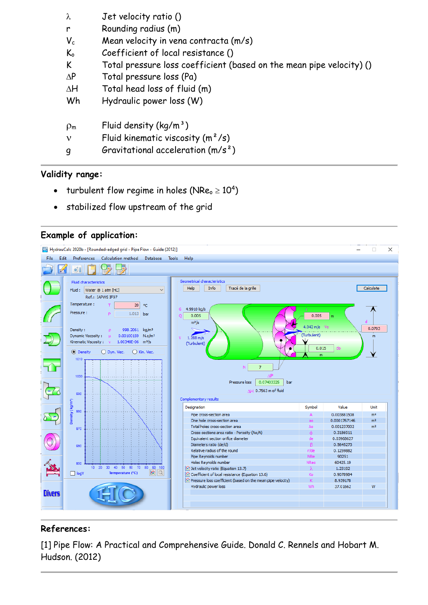| $\lambda$      | Jet velocity ratio ()                                                |
|----------------|----------------------------------------------------------------------|
| r              | Rounding radius (m)                                                  |
| $V_c$          | Mean velocity in vena contracta (m/s)                                |
| $K_{o}$        | Coefficient of local resistance ()                                   |
| K              | Total pressure loss coefficient (based on the mean pipe velocity) () |
| $\Delta P$     | Total pressure loss (Pa)                                             |
| $\Delta H$     | Total head loss of fluid (m)                                         |
| Wh             | Hydraulic power loss (W)                                             |
|                |                                                                      |
| $\rho_{\rm m}$ | Fluid density $(kg/m^3)$                                             |
| $\mathbf v$    | Fluid kinematic viscosity $(m^2/s)$                                  |
|                | Gravitational acceleration $(m/s^2)$                                 |

## **Validity range:**

- turbulent flow regime in holes (NRe $_{\circ}$   $\geq 10^{4})$
- stabilized flow upstream of the grid

### **Example of application:**



# **References:**

[1] Pipe Flow: A Practical and Comprehensive Guide. Donald C. Rennels and Hobart M. Hudson. (2012)